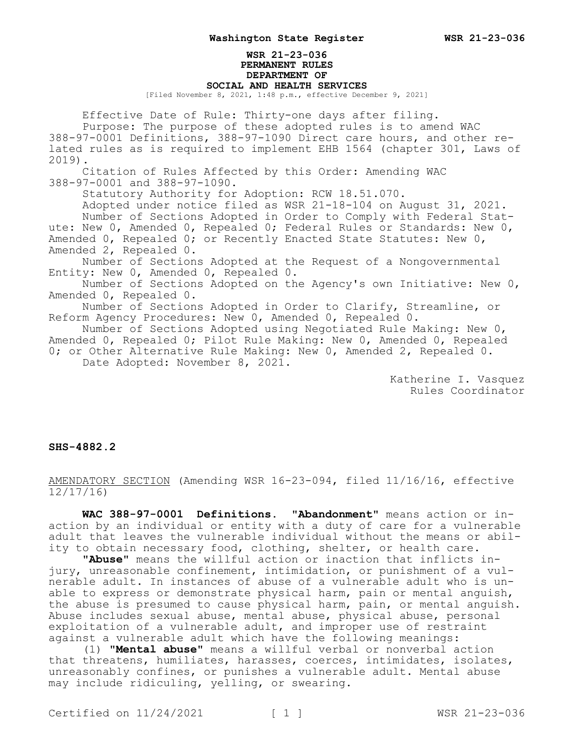# **WSR 21-23-036 PERMANENT RULES DEPARTMENT OF SOCIAL AND HEALTH SERVICES**

[Filed November 8, 2021, 1:48 p.m., effective December 9, 2021]

Effective Date of Rule: Thirty-one days after filing. Purpose: The purpose of these adopted rules is to amend WAC 388-97-0001 Definitions, 388-97-1090 Direct care hours, and other related rules as is required to implement EHB 1564 (chapter 301, Laws of 2019).

Citation of Rules Affected by this Order: Amending WAC 388-97-0001 and 388-97-1090.

Statutory Authority for Adoption: RCW 18.51.070.

Adopted under notice filed as WSR 21-18-104 on August 31, 2021. Number of Sections Adopted in Order to Comply with Federal Statute: New 0, Amended 0, Repealed 0; Federal Rules or Standards: New 0, Amended 0, Repealed 0; or Recently Enacted State Statutes: New 0, Amended 2, Repealed 0.

Number of Sections Adopted at the Request of a Nongovernmental Entity: New 0, Amended 0, Repealed 0.

Number of Sections Adopted on the Agency's own Initiative: New 0, Amended 0, Repealed 0.

Number of Sections Adopted in Order to Clarify, Streamline, or Reform Agency Procedures: New 0, Amended 0, Repealed 0.

Number of Sections Adopted using Negotiated Rule Making: New 0, Amended 0, Repealed 0; Pilot Rule Making: New 0, Amended 0, Repealed 0; or Other Alternative Rule Making: New 0, Amended 2, Repealed 0. Date Adopted: November 8, 2021.

> Katherine I. Vasquez Rules Coordinator

### **SHS-4882.2**

AMENDATORY SECTION (Amending WSR 16-23-094, filed 11/16/16, effective 12/17/16)

**WAC 388-97-0001 Definitions. "Abandonment"** means action or inaction by an individual or entity with a duty of care for a vulnerable adult that leaves the vulnerable individual without the means or ability to obtain necessary food, clothing, shelter, or health care.

**"Abuse"** means the willful action or inaction that inflicts injury, unreasonable confinement, intimidation, or punishment of a vulnerable adult. In instances of abuse of a vulnerable adult who is unable to express or demonstrate physical harm, pain or mental anguish, the abuse is presumed to cause physical harm, pain, or mental anguish. Abuse includes sexual abuse, mental abuse, physical abuse, personal exploitation of a vulnerable adult, and improper use of restraint against a vulnerable adult which have the following meanings:

(1) **"Mental abuse"** means a willful verbal or nonverbal action that threatens, humiliates, harasses, coerces, intimidates, isolates, unreasonably confines, or punishes a vulnerable adult. Mental abuse may include ridiculing, yelling, or swearing.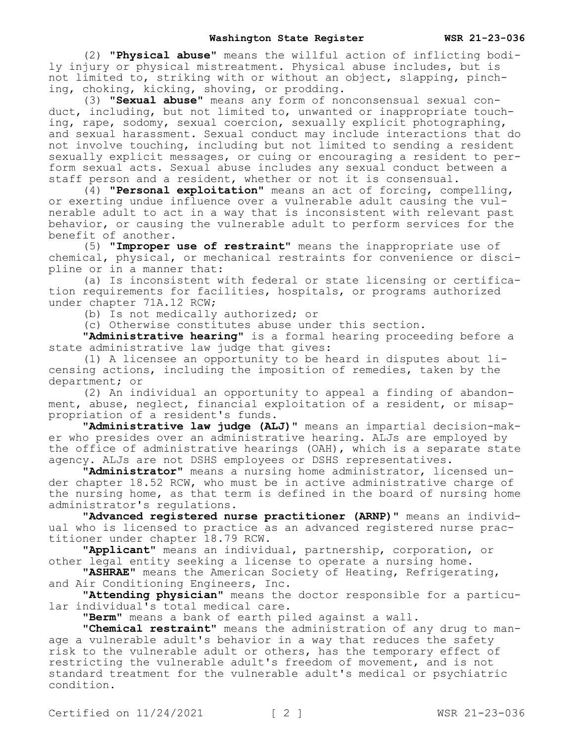## **Washington State Register WSR 21-23-036**

(2) **"Physical abuse"** means the willful action of inflicting bodily injury or physical mistreatment. Physical abuse includes, but is not limited to, striking with or without an object, slapping, pinching, choking, kicking, shoving, or prodding.

(3) **"Sexual abuse"** means any form of nonconsensual sexual conduct, including, but not limited to, unwanted or inappropriate touching, rape, sodomy, sexual coercion, sexually explicit photographing, and sexual harassment. Sexual conduct may include interactions that do not involve touching, including but not limited to sending a resident sexually explicit messages, or cuing or encouraging a resident to perform sexual acts. Sexual abuse includes any sexual conduct between a staff person and a resident, whether or not it is consensual.

(4) **"Personal exploitation"** means an act of forcing, compelling, or exerting undue influence over a vulnerable adult causing the vulnerable adult to act in a way that is inconsistent with relevant past behavior, or causing the vulnerable adult to perform services for the benefit of another.

(5) **"Improper use of restraint"** means the inappropriate use of chemical, physical, or mechanical restraints for convenience or discipline or in a manner that:

(a) Is inconsistent with federal or state licensing or certification requirements for facilities, hospitals, or programs authorized under chapter 71A.12 RCW;

(b) Is not medically authorized; or

(c) Otherwise constitutes abuse under this section.

**"Administrative hearing"** is a formal hearing proceeding before a state administrative law judge that gives:

(1) A licensee an opportunity to be heard in disputes about licensing actions, including the imposition of remedies, taken by the department; or

(2) An individual an opportunity to appeal a finding of abandonment, abuse, neglect, financial exploitation of a resident, or misappropriation of a resident's funds.

**"Administrative law judge (ALJ)"** means an impartial decision-maker who presides over an administrative hearing. ALJs are employed by the office of administrative hearings (OAH), which is a separate state agency. ALJs are not DSHS employees or DSHS representatives.

**"Administrator"** means a nursing home administrator, licensed under chapter 18.52 RCW, who must be in active administrative charge of the nursing home, as that term is defined in the board of nursing home administrator's regulations.

**"Advanced registered nurse practitioner (ARNP)"** means an individual who is licensed to practice as an advanced registered nurse practitioner under chapter 18.79 RCW.

**"Applicant"** means an individual, partnership, corporation, or other legal entity seeking a license to operate a nursing home.

**"ASHRAE"** means the American Society of Heating, Refrigerating, and Air Conditioning Engineers, Inc.

**"Attending physician"** means the doctor responsible for a particular individual's total medical care.

**"Berm"** means a bank of earth piled against a wall.

**"Chemical restraint"** means the administration of any drug to manage a vulnerable adult's behavior in a way that reduces the safety risk to the vulnerable adult or others, has the temporary effect of restricting the vulnerable adult's freedom of movement, and is not standard treatment for the vulnerable adult's medical or psychiatric condition.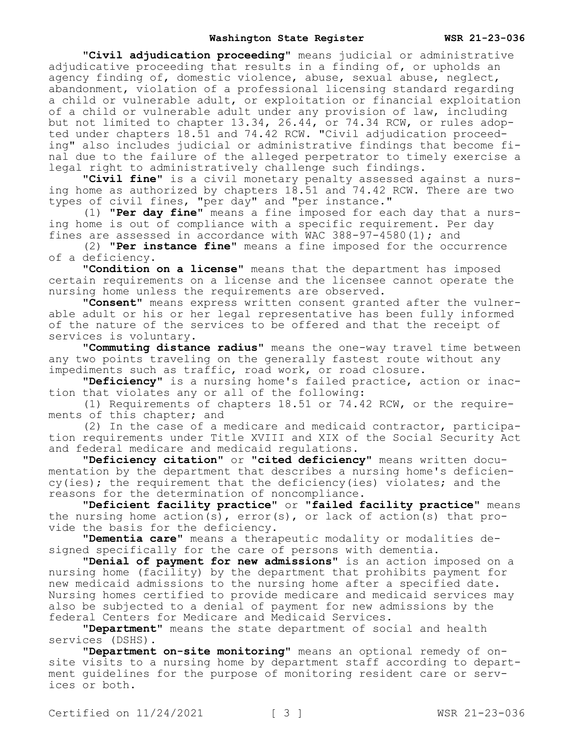## **Washington State Register WSR 21-23-036**

**"Civil adjudication proceeding"** means judicial or administrative adjudicative proceeding that results in a finding of, or upholds an agency finding of, domestic violence, abuse, sexual abuse, neglect, abandonment, violation of a professional licensing standard regarding a child or vulnerable adult, or exploitation or financial exploitation of a child or vulnerable adult under any provision of law, including but not limited to chapter 13.34, 26.44, or 74.34 RCW, or rules adopted under chapters 18.51 and 74.42 RCW. "Civil adjudication proceeding" also includes judicial or administrative findings that become final due to the failure of the alleged perpetrator to timely exercise a legal right to administratively challenge such findings.

**"Civil fine"** is a civil monetary penalty assessed against a nursing home as authorized by chapters  $1\bar{8}.\bar{5}1$  and  $74.42$  RCW. There are two types of civil fines, "per day" and "per instance."

(1) **"Per day fine"** means a fine imposed for each day that a nursing home is out of compliance with a specific requirement. Per day fines are assessed in accordance with WAC  $388-97-4580(1)$ ; and

(2) **"Per instance fine"** means a fine imposed for the occurrence of a deficiency.

**"Condition on a license"** means that the department has imposed certain requirements on a license and the licensee cannot operate the nursing home unless the requirements are observed.

**"Consent"** means express written consent granted after the vulnerable adult or his or her legal representative has been fully informed of the nature of the services to be offered and that the receipt of services is voluntary.

**"Commuting distance radius"** means the one-way travel time between any two points traveling on the generally fastest route without any impediments such as traffic, road work, or road closure.

**"Deficiency"** is a nursing home's failed practice, action or inaction that violates any or all of the following:

(1) Requirements of chapters 18.51 or 74.42 RCW, or the requirements of this chapter; and

(2) In the case of a medicare and medicaid contractor, participation requirements under Title XVIII and XIX of the Social Security Act and federal medicare and medicaid regulations.

**"Deficiency citation"** or **"cited deficiency"** means written documentation by the department that describes a nursing home's deficiency(ies); the requirement that the deficiency(ies) violates; and the reasons for the determination of noncompliance.

**"Deficient facility practice"** or **"failed facility practice"** means the nursing home  $\arctan(s)$ ,  $\arctan(s)$ , or lack of  $\arctan(s)$  that provide the basis for the deficiency.

**"Dementia care"** means a therapeutic modality or modalities designed specifically for the care of persons with dementia.

**"Denial of payment for new admissions"** is an action imposed on a nursing home (facility) by the department that prohibits payment for new medicaid admissions to the nursing home after a specified date. Nursing homes certified to provide medicare and medicaid services may also be subjected to a denial of payment for new admissions by the federal Centers for Medicare and Medicaid Services.

**"Department"** means the state department of social and health services (DSHS).

**"Department on-site monitoring"** means an optional remedy of onsite visits to a nursing home by department staff according to department guidelines for the purpose of monitoring resident care or services or both.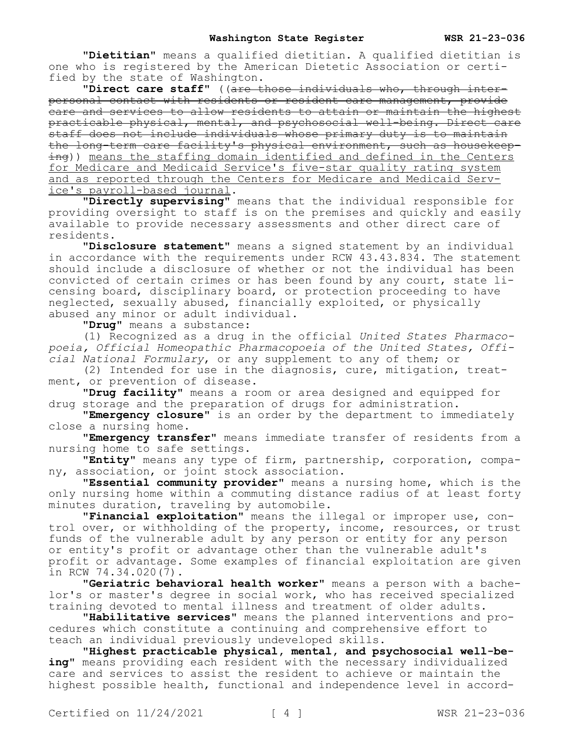**"Dietitian"** means a qualified dietitian. A qualified dietitian is one who is registered by the American Dietetic Association or certified by the state of Washington.

**"Direct care staff"** ((are those individuals who, through interpersonal contact with residents or resident care management, provide care and services to allow residents to attain or maintain the highest practicable physical, mental, and psychosocial well-being. Direct care staff does not include individuals whose primary duty is to maintain the long-term care facility's physical environment, such as housekeeping)) means the staffing domain identified and defined in the Centers for Medicare and Medicaid Service's five-star quality rating system and as reported through the Centers for Medicare and Medicaid Service's payroll-based journal.

**"Directly supervising"** means that the individual responsible for providing oversight to staff is on the premises and quickly and easily available to provide necessary assessments and other direct care of residents.

**"Disclosure statement"** means a signed statement by an individual in accordance with the requirements under RCW 43.43.834. The statement should include a disclosure of whether or not the individual has been convicted of certain crimes or has been found by any court, state licensing board, disciplinary board, or protection proceeding to have neglected, sexually abused, financially exploited, or physically abused any minor or adult individual.

**"Drug"** means a substance:

(1) Recognized as a drug in the official *United States Pharmacopoeia, Official Homeopathic Pharmacopoeia of the United States, Official National Formulary*, or any supplement to any of them; or

(2) Intended for use in the diagnosis, cure, mitigation, treatment, or prevention of disease.

**"Drug facility"** means a room or area designed and equipped for drug storage and the preparation of drugs for administration.

**"Emergency closure"** is an order by the department to immediately close a nursing home.

**"Emergency transfer"** means immediate transfer of residents from a nursing home to safe settings.

**"Entity"** means any type of firm, partnership, corporation, company, association, or joint stock association.

**"Essential community provider"** means a nursing home, which is the only nursing home within a commuting distance radius of at least forty minutes duration, traveling by automobile.

**"Financial exploitation"** means the illegal or improper use, control over, or withholding of the property, income, resources, or trust funds of the vulnerable adult by any person or entity for any person or entity's profit or advantage other than the vulnerable adult's profit or advantage. Some examples of financial exploitation are given in RCW 74.34.020(7).

**"Geriatric behavioral health worker"** means a person with a bachelor's or master's degree in social work, who has received specialized training devoted to mental illness and treatment of older adults.

**"Habilitative services"** means the planned interventions and procedures which constitute a continuing and comprehensive effort to teach an individual previously undeveloped skills.

**"Highest practicable physical, mental, and psychosocial well-being"** means providing each resident with the necessary individualized care and services to assist the resident to achieve or maintain the highest possible health, functional and independence level in accord-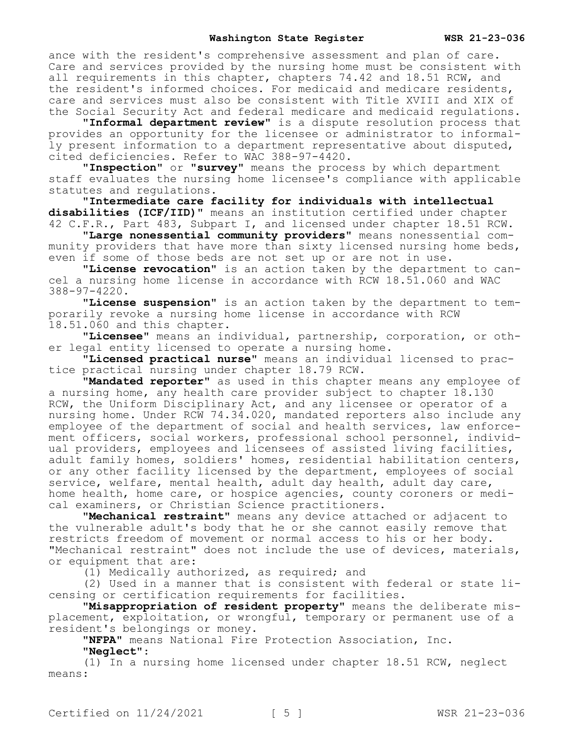#### **Washington State Register WSR 21-23-036**

ance with the resident's comprehensive assessment and plan of care. Care and services provided by the nursing home must be consistent with all requirements in this chapter, chapters 74.42 and 18.51 RCW, and the resident's informed choices. For medicaid and medicare residents, care and services must also be consistent with Title XVIII and XIX of the Social Security Act and federal medicare and medicaid regulations.

**"Informal department review"** is a dispute resolution process that provides an opportunity for the licensee or administrator to informally present information to a department representative about disputed, cited deficiencies. Refer to WAC 388-97-4420.

**"Inspection"** or **"survey"** means the process by which department staff evaluates the nursing home licensee's compliance with applicable statutes and regulations.

**"Intermediate care facility for individuals with intellectual disabilities (ICF/IID)"** means an institution certified under chapter 42 C.F.R., Part 483, Subpart I, and licensed under chapter 18.51 RCW.

**"Large nonessential community providers"** means nonessential community providers that have more than sixty licensed nursing home beds, even if some of those beds are not set up or are not in use.

**"License revocation"** is an action taken by the department to cancel a nursing home license in accordance with RCW 18.51.060 and WAC 388-97-4220.

**"License suspension"** is an action taken by the department to temporarily revoke a nursing home license in accordance with RCW 18.51.060 and this chapter.

**"Licensee"** means an individual, partnership, corporation, or other legal entity licensed to operate a nursing home.

**"Licensed practical nurse"** means an individual licensed to practice practical nursing under chapter 18.79 RCW.

**"Mandated reporter"** as used in this chapter means any employee of a nursing home, any health care provider subject to chapter 18.130 RCW, the Uniform Disciplinary Act, and any licensee or operator of a nursing home. Under RCW 74.34.020, mandated reporters also include any employee of the department of social and health services, law enforcement officers, social workers, professional school personnel, individual providers, employees and licensees of assisted living facilities, adult family homes, soldiers' homes, residential habilitation centers, or any other facility licensed by the department, employees of social service, welfare, mental health, adult day health, adult day care, home health, home care, or hospice agencies, county coroners or medical examiners, or Christian Science practitioners.

**"Mechanical restraint"** means any device attached or adjacent to the vulnerable adult's body that he or she cannot easily remove that restricts freedom of movement or normal access to his or her body. "Mechanical restraint" does not include the use of devices, materials, or equipment that are:

(1) Medically authorized, as required; and

(2) Used in a manner that is consistent with federal or state licensing or certification requirements for facilities.

**"Misappropriation of resident property"** means the deliberate misplacement, exploitation, or wrongful, temporary or permanent use of a resident's belongings or money.

**"NFPA"** means National Fire Protection Association, Inc.

**"Neglect"**:

(1) In a nursing home licensed under chapter 18.51 RCW, neglect means: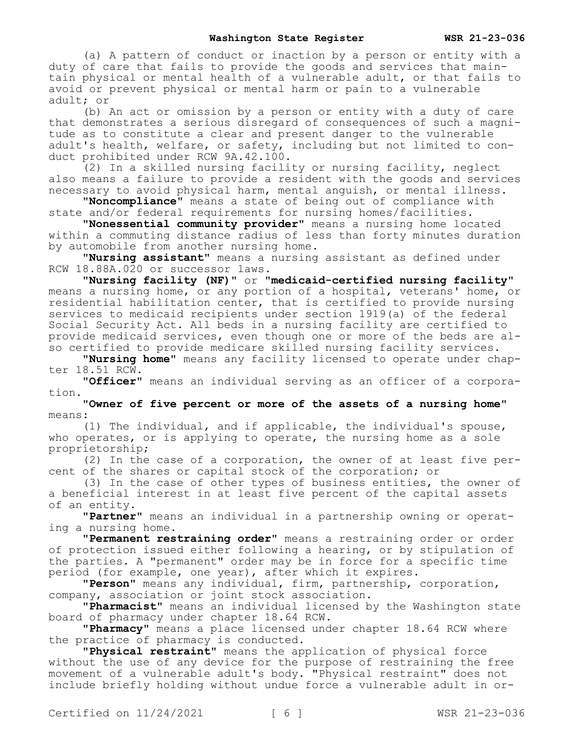(a) A pattern of conduct or inaction by a person or entity with a duty of care that fails to provide the goods and services that maintain physical or mental health of a vulnerable adult, or that fails to avoid or prevent physical or mental harm or pain to a vulnerable adult; or

(b) An act or omission by a person or entity with a duty of care that demonstrates a serious disregard of consequences of such a magnitude as to constitute a clear and present danger to the vulnerable adult's health, welfare, or safety, including but not limited to conduct prohibited under RCW 9A.42.100.

(2) In a skilled nursing facility or nursing facility, neglect also means a failure to provide a resident with the goods and services necessary to avoid physical harm, mental anguish, or mental illness.

**"Noncompliance"** means a state of being out of compliance with state and/or federal requirements for nursing homes/facilities.

**"Nonessential community provider"** means a nursing home located within a commuting distance radius of less than forty minutes duration by automobile from another nursing home.

**"Nursing assistant"** means a nursing assistant as defined under RCW 18.88A.020 or successor laws.

**"Nursing facility (NF)"** or **"medicaid-certified nursing facility"**  means a nursing home, or any portion of a hospital, veterans' home, or residential habilitation center, that is certified to provide nursing services to medicaid recipients under section 1919(a) of the federal Social Security Act. All beds in a nursing facility are certified to provide medicaid services, even though one or more of the beds are also certified to provide medicare skilled nursing facility services.

**"Nursing home"** means any facility licensed to operate under chapter 18.51 RCW.

**"Officer"** means an individual serving as an officer of a corporation.

**"Owner of five percent or more of the assets of a nursing home"**  means:

(1) The individual, and if applicable, the individual's spouse, who operates, or is applying to operate, the nursing home as a sole proprietorship;

(2) In the case of a corporation, the owner of at least five percent of the shares or capital stock of the corporation; or

(3) In the case of other types of business entities, the owner of a beneficial interest in at least five percent of the capital assets of an entity.

**"Partner"** means an individual in a partnership owning or operating a nursing home.

**"Permanent restraining order"** means a restraining order or order of protection issued either following a hearing, or by stipulation of the parties. A "permanent" order may be in force for a specific time period (for example, one year), after which it expires.

**"Person"** means any individual, firm, partnership, corporation, company, association or joint stock association.

**"Pharmacist"** means an individual licensed by the Washington state board of pharmacy under chapter 18.64 RCW.

**"Pharmacy"** means a place licensed under chapter 18.64 RCW where the practice of pharmacy is conducted.

**"Physical restraint"** means the application of physical force without the use of any device for the purpose of restraining the free movement of a vulnerable adult's body. "Physical restraint" does not include briefly holding without undue force a vulnerable adult in or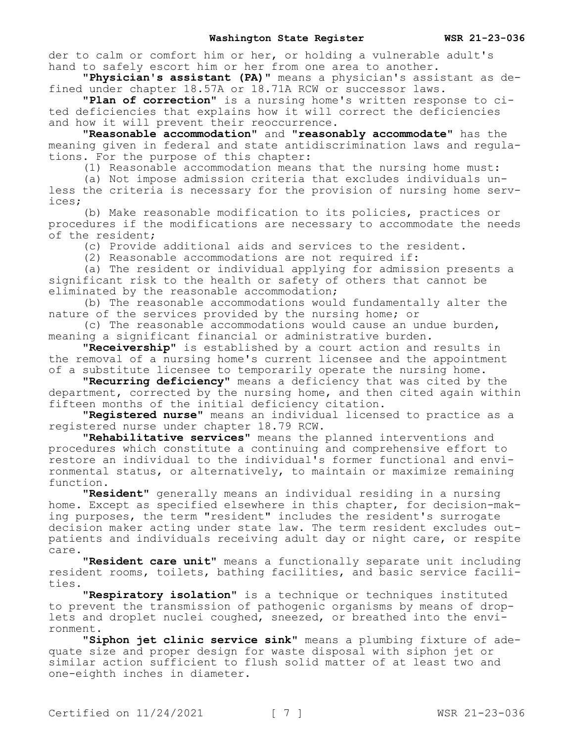der to calm or comfort him or her, or holding a vulnerable adult's hand to safely escort him or her from one area to another.

**"Physician's assistant (PA)"** means a physician's assistant as defined under chapter 18.57A or 18.71A RCW or successor laws.

**"Plan of correction"** is a nursing home's written response to cited deficiencies that explains how it will correct the deficiencies and how it will prevent their reoccurrence.

**"Reasonable accommodation"** and **"reasonably accommodate"** has the meaning given in federal and state antidiscrimination laws and regulations. For the purpose of this chapter:

(1) Reasonable accommodation means that the nursing home must:

(a) Not impose admission criteria that excludes individuals unless the criteria is necessary for the provision of nursing home services;

(b) Make reasonable modification to its policies, practices or procedures if the modifications are necessary to accommodate the needs of the resident;

(c) Provide additional aids and services to the resident.

(2) Reasonable accommodations are not required if:

(a) The resident or individual applying for admission presents a significant risk to the health or safety of others that cannot be eliminated by the reasonable accommodation;

(b) The reasonable accommodations would fundamentally alter the nature of the services provided by the nursing home; or

(c) The reasonable accommodations would cause an undue burden, meaning a significant financial or administrative burden.

**"Receivership"** is established by a court action and results in the removal of a nursing home's current licensee and the appointment of a substitute licensee to temporarily operate the nursing home.

**"Recurring deficiency"** means a deficiency that was cited by the department, corrected by the nursing home, and then cited again within fifteen months of the initial deficiency citation.

**"Registered nurse"** means an individual licensed to practice as a registered nurse under chapter 18.79 RCW.

**"Rehabilitative services"** means the planned interventions and procedures which constitute a continuing and comprehensive effort to restore an individual to the individual's former functional and environmental status, or alternatively, to maintain or maximize remaining function.

**"Resident"** generally means an individual residing in a nursing home. Except as specified elsewhere in this chapter, for decision-making purposes, the term "resident" includes the resident's surrogate decision maker acting under state law. The term resident excludes outpatients and individuals receiving adult day or night care, or respite care.

**"Resident care unit"** means a functionally separate unit including resident rooms, toilets, bathing facilities, and basic service facilities.

**"Respiratory isolation"** is a technique or techniques instituted to prevent the transmission of pathogenic organisms by means of droplets and droplet nuclei coughed, sneezed, or breathed into the environment.

**"Siphon jet clinic service sink"** means a plumbing fixture of adequate size and proper design for waste disposal with siphon jet or similar action sufficient to flush solid matter of at least two and one-eighth inches in diameter.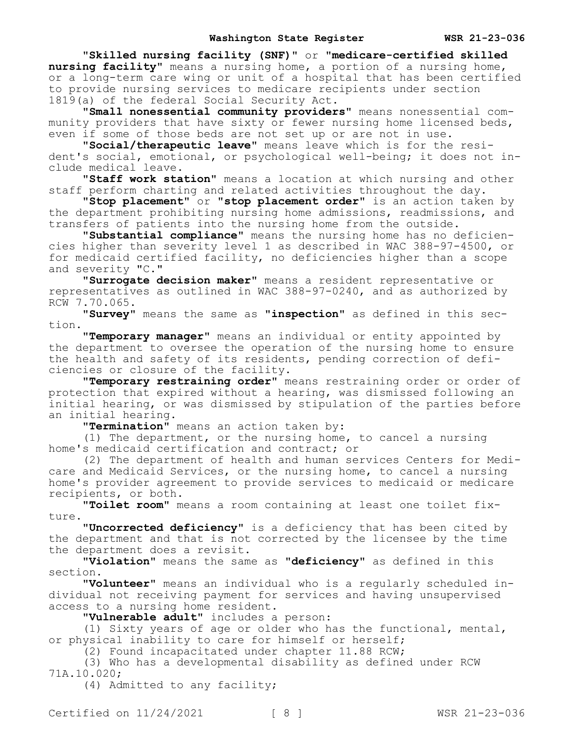**"Skilled nursing facility (SNF)"** or **"medicare-certified skilled nursing facility"** means a nursing home, a portion of a nursing home, or a long-term care wing or unit of a hospital that has been certified to provide nursing services to medicare recipients under section 1819(a) of the federal Social Security Act.

**"Small nonessential community providers"** means nonessential community providers that have sixty or fewer nursing home licensed beds, even if some of those beds are not set up or are not in use.

**"Social/therapeutic leave"** means leave which is for the resident's social, emotional, or psychological well-being; it does not include medical leave.

**"Staff work station"** means a location at which nursing and other staff perform charting and related activities throughout the day.

**"Stop placement"** or **"stop placement order"** is an action taken by the department prohibiting nursing home admissions, readmissions, and transfers of patients into the nursing home from the outside.

**"Substantial compliance"** means the nursing home has no deficiencies higher than severity level 1 as described in WAC 388-97-4500, or for medicaid certified facility, no deficiencies higher than a scope and severity "C."

**"Surrogate decision maker"** means a resident representative or representatives as outlined in WAC 388-97-0240, and as authorized by RCW 7.70.065.

**"Survey"** means the same as **"inspection"** as defined in this section.

**"Temporary manager"** means an individual or entity appointed by the department to oversee the operation of the nursing home to ensure the health and safety of its residents, pending correction of deficiencies or closure of the facility.

**"Temporary restraining order"** means restraining order or order of protection that expired without a hearing, was dismissed following an initial hearing, or was dismissed by stipulation of the parties before an initial hearing.

**"Termination"** means an action taken by:

(1) The department, or the nursing home, to cancel a nursing home's medicaid certification and contract; or

(2) The department of health and human services Centers for Medicare and Medicaid Services, or the nursing home, to cancel a nursing home's provider agreement to provide services to medicaid or medicare recipients, or both.

**"Toilet room"** means a room containing at least one toilet fixture.

**"Uncorrected deficiency"** is a deficiency that has been cited by the department and that is not corrected by the licensee by the time the department does a revisit.

**"Violation"** means the same as **"deficiency"** as defined in this section.

**"Volunteer"** means an individual who is a regularly scheduled individual not receiving payment for services and having unsupervised access to a nursing home resident.

**"Vulnerable adult"** includes a person:

(1) Sixty years of age or older who has the functional, mental, or physical inability to care for himself or herself;

(2) Found incapacitated under chapter 11.88 RCW;

(3) Who has a developmental disability as defined under RCW 71A.10.020;

(4) Admitted to any facility;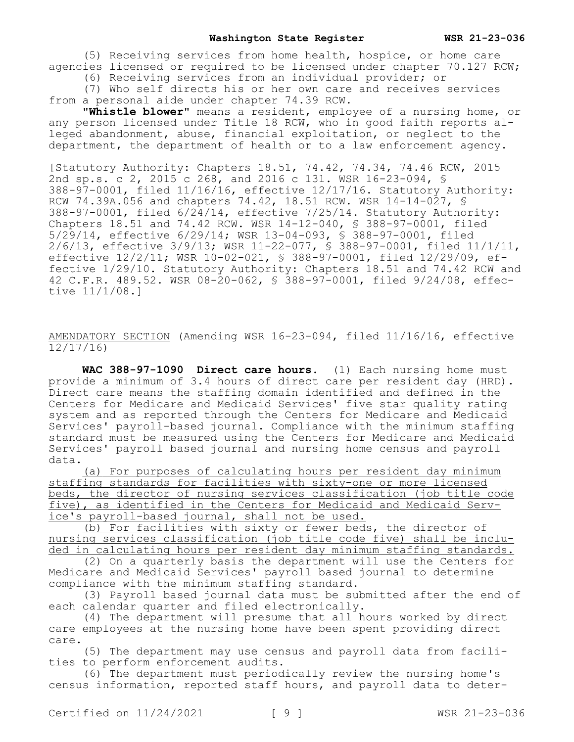(5) Receiving services from home health, hospice, or home care agencies licensed or required to be licensed under chapter 70.127 RCW;

(6) Receiving services from an individual provider; or

(7) Who self directs his or her own care and receives services from a personal aide under chapter 74.39 RCW.

**"Whistle blower"** means a resident, employee of a nursing home, or any person licensed under Title 18 RCW, who in good faith reports alleged abandonment, abuse, financial exploitation, or neglect to the department, the department of health or to a law enforcement agency.

[Statutory Authority: Chapters 18.51, 74.42, 74.34, 74.46 RCW, 2015 2nd sp.s. c 2, 2015 c 268, and 2016 c 131. WSR 16-23-094, § 388-97-0001, filed 11/16/16, effective 12/17/16. Statutory Authority: RCW 74.39A.056 and chapters 74.42, 18.51 RCW. WSR 14-14-027, \$  $388-97-0001$ , filed  $6/24/14$ , effective  $7/25/14$ . Statutory Authority: Chapters 18.51 and 74.42 RCW. WSR 14-12-040, § 388-97-0001, filed 5/29/14, effective 6/29/14; WSR 13-04-093, § 388-97-0001, filed 2/6/13, effective 3/9/13; WSR 11-22-077, § 388-97-0001, filed 11/1/11, effective 12/2/11; WSR 10-02-021, § 388-97-0001, filed 12/29/09, effective 1/29/10. Statutory Authority: Chapters 18.51 and 74.42 RCW and 42 C.F.R. 489.52. WSR 08-20-062, § 388-97-0001, filed 9/24/08, effective 11/1/08.]

AMENDATORY SECTION (Amending WSR 16-23-094, filed 11/16/16, effective 12/17/16)

**WAC 388-97-1090 Direct care hours.** (1) Each nursing home must provide a minimum of 3.4 hours of direct care per resident day (HRD). Direct care means the staffing domain identified and defined in the Centers for Medicare and Medicaid Services' five star quality rating system and as reported through the Centers for Medicare and Medicaid Services' payroll-based journal. Compliance with the minimum staffing standard must be measured using the Centers for Medicare and Medicaid Services' payroll based journal and nursing home census and payroll data.

(a) For purposes of calculating hours per resident day minimum staffing standards for facilities with sixty-one or more licensed beds, the director of nursing services classification (job title code five), as identified in the Centers for Medicaid and Medicaid Service's payroll-based journal, shall not be used.

(b) For facilities with sixty or fewer beds, the director of nursing services classification (job title code five) shall be included in calculating hours per resident day minimum staffing standards.

(2) On a quarterly basis the department will use the Centers for Medicare and Medicaid Services' payroll based journal to determine compliance with the minimum staffing standard.

(3) Payroll based journal data must be submitted after the end of each calendar quarter and filed electronically.

(4) The department will presume that all hours worked by direct care employees at the nursing home have been spent providing direct care.

(5) The department may use census and payroll data from facilities to perform enforcement audits.

(6) The department must periodically review the nursing home's census information, reported staff hours, and payroll data to deter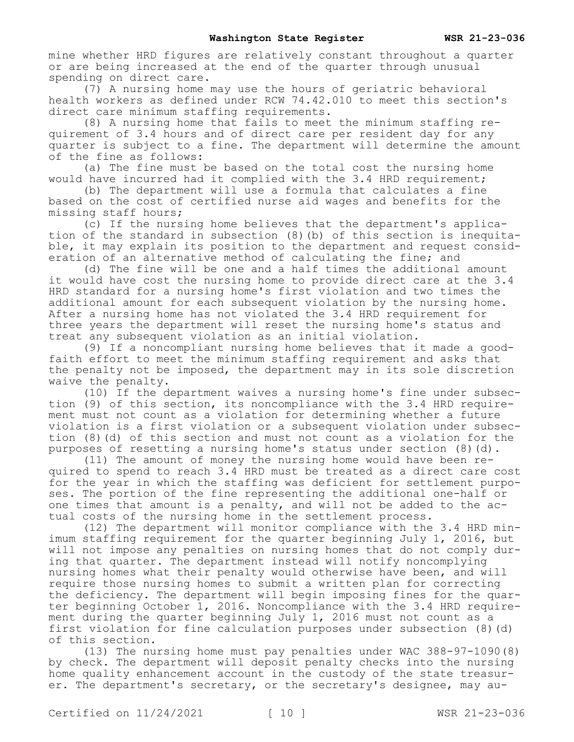mine whether HRD figures are relatively constant throughout a quarter or are being increased at the end of the quarter through unusual spending on direct care.

(7) A nursing home may use the hours of geriatric behavioral health workers as defined under RCW 74.42.010 to meet this section's direct care minimum staffing requirements.

(8) A nursing home that fails to meet the minimum staffing requirement of 3.4 hours and of direct care per resident day for any quarter is subject to a fine. The department will determine the amount of the fine as follows:

(a) The fine must be based on the total cost the nursing home would have incurred had it complied with the 3.4 HRD requirement;

(b) The department will use a formula that calculates a fine based on the cost of certified nurse aid wages and benefits for the missing staff hours;

(c) If the nursing home believes that the department's application of the standard in subsection (8)(b) of this section is inequitable, it may explain its position to the department and request consideration of an alternative method of calculating the fine; and

(d) The fine will be one and a half times the additional amount it would have cost the nursing home to provide direct care at the 3.4 HRD standard for a nursing home's first violation and two times the additional amount for each subsequent violation by the nursing home. After a nursing home has not violated the 3.4 HRD requirement for three years the department will reset the nursing home's status and treat any subsequent violation as an initial violation.

(9) If a noncompliant nursing home believes that it made a goodfaith effort to meet the minimum staffing requirement and asks that the penalty not be imposed, the department may in its sole discretion waive the penalty.

(10) If the department waives a nursing home's fine under subsection (9) of this section, its noncompliance with the 3.4 HRD requirement must not count as a violation for determining whether a future violation is a first violation or a subsequent violation under subsection (8)(d) of this section and must not count as a violation for the purposes of resetting a nursing home's status under section (8)(d).

(11) The amount of money the nursing home would have been required to spend to reach 3.4 HRD must be treated as a direct care cost for the year in which the staffing was deficient for settlement purposes. The portion of the fine representing the additional one-half or one times that amount is a penalty, and will not be added to the actual costs of the nursing home in the settlement process.

(12) The department will monitor compliance with the 3.4 HRD minimum staffing requirement for the quarter beginning July 1, 2016, but will not impose any penalties on nursing homes that do not comply during that quarter. The department instead will notify noncomplying nursing homes what their penalty would otherwise have been, and will require those nursing homes to submit a written plan for correcting the deficiency. The department will begin imposing fines for the quarter beginning October 1, 2016. Noncompliance with the 3.4 HRD requirement during the quarter beginning July 1, 2016 must not count as a first violation for fine calculation purposes under subsection (8)(d) of this section.

(13) The nursing home must pay penalties under WAC 388-97-1090(8) by check. The department will deposit penalty checks into the nursing home quality enhancement account in the custody of the state treasurer. The department's secretary, or the secretary's designee, may au-